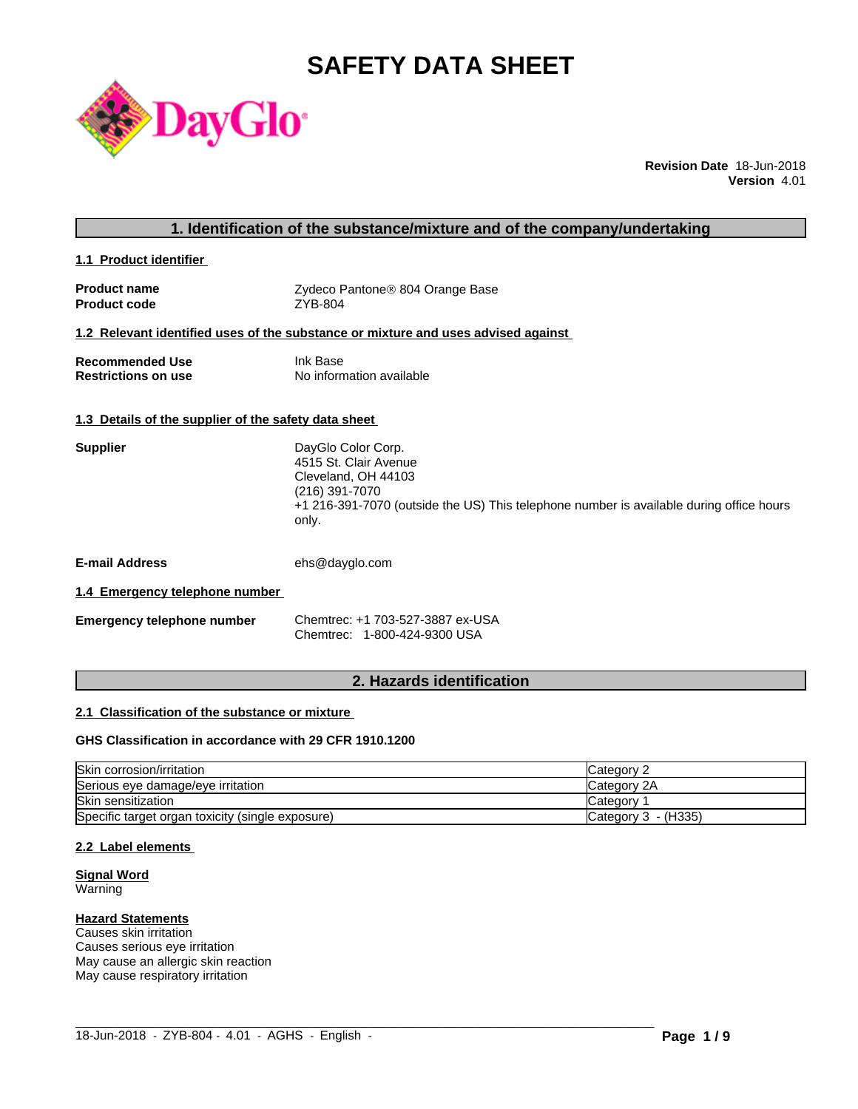# **SAFETY DATA SHEET**



**Revision Date** 18-Jun-2018 **Version** 4.01

# **1. Identification of the substance/mixture and of the company/undertaking**

**1.1 Product identifier** 

| <b>Product name</b> | Zydeco Pantone® 804 Orange Base |
|---------------------|---------------------------------|
| <b>Product code</b> | ZYB-804                         |

#### **1.2 Relevant identified uses of the substance or mixture and uses advised against**

| <b>Recommended Use</b>     | Ink Base                 |
|----------------------------|--------------------------|
| <b>Restrictions on use</b> | No information available |

#### **1.3 Details of the supplier of the safety data sheet**

| <b>Supplier</b> | DayGlo Color Corp.<br>4515 St. Clair Avenue<br>Cleveland, OH 44103<br>(216) 391-7070<br>+1 216-391-7070 (outside the US) This telephone number is available during office hours<br>only. |
|-----------------|------------------------------------------------------------------------------------------------------------------------------------------------------------------------------------------|
| .               | $\sim$ $\sim$ $\sim$ $\sim$ $\sim$ $\sim$                                                                                                                                                |

**E-mail Address** ehs@dayglo.com

### **1.4 Emergency telephone number**

| <b>Emergency telephone number</b> | Chemtrec: +1 703-527-3887 ex-USA |
|-----------------------------------|----------------------------------|
|                                   | Chemtrec: 1-800-424-9300 USA     |

# **2. Hazards identification**

#### **2.1 Classification of the substance or mixture**

#### **GHS Classification in accordance with 29 CFR 1910.1200**

| Skin corrosion/irritation                        | Category 2            |
|--------------------------------------------------|-----------------------|
| Serious eye damage/eye irritation                | Category 2A           |
| <b>Skin sensitization</b>                        | Category              |
| Specific target organ toxicity (single exposure) | Category $3 - (H335)$ |

 $\_$  ,  $\_$  ,  $\_$  ,  $\_$  ,  $\_$  ,  $\_$  ,  $\_$  ,  $\_$  ,  $\_$  ,  $\_$  ,  $\_$  ,  $\_$  ,  $\_$  ,  $\_$  ,  $\_$  ,  $\_$  ,  $\_$  ,  $\_$  ,  $\_$  ,  $\_$  ,  $\_$  ,  $\_$  ,  $\_$  ,  $\_$  ,  $\_$  ,  $\_$  ,  $\_$  ,  $\_$  ,  $\_$  ,  $\_$  ,  $\_$  ,  $\_$  ,  $\_$  ,  $\_$  ,  $\_$  ,  $\_$  ,  $\_$  ,

#### **2.2 Label elements**

#### **Signal Word** Warning

# **Hazard Statements**

Causes skin irritation Causes serious eye irritation May cause an allergic skin reaction May cause respiratory irritation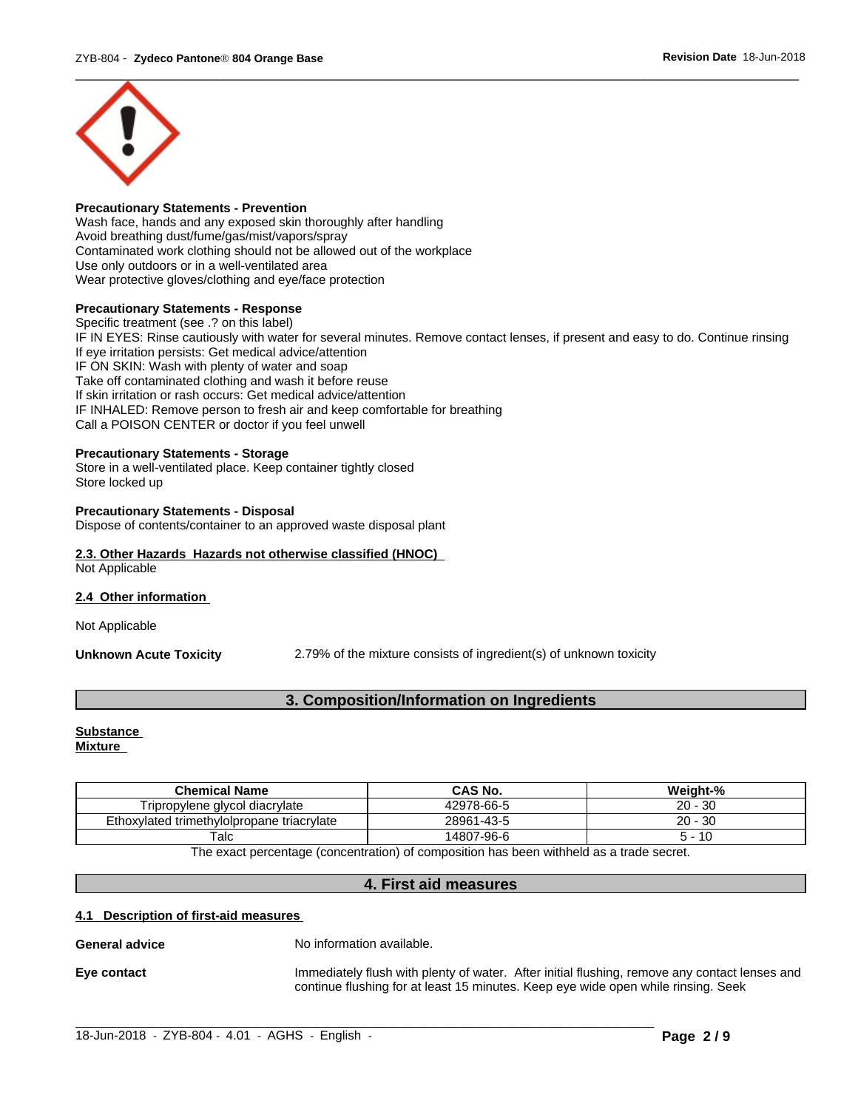

#### **Precautionary Statements - Prevention**

Wash face, hands and any exposed skin thoroughly after handling Avoid breathing dust/fume/gas/mist/vapors/spray Contaminated work clothing should not be allowed out of the workplace Use only outdoors or in a well-ventilated area Wear protective gloves/clothing and eye/face protection

#### **Precautionary Statements - Response**

Specific treatment (see .? on this label) IF IN EYES: Rinse cautiously with water for several minutes. Remove contact lenses, if present and easy to do. Continue rinsing If eye irritation persists: Get medical advice/attention IF ON SKIN: Wash with plenty of water and soap Take off contaminated clothing and wash it before reuse If skin irritation or rash occurs: Get medical advice/attention IF INHALED: Remove person to fresh air and keep comfortable for breathing Call a POISON CENTER or doctor if you feel unwell

#### **Precautionary Statements - Storage**

Store in a well-ventilated place. Keep container tightly closed Store locked up

#### **Precautionary Statements - Disposal**

Dispose of contents/container to an approved waste disposal plant

#### **2.3. Other Hazards Hazards not otherwise classified (HNOC)** Not Applicable

#### **2.4 Other information**

Not Applicable

**Unknown Acute Toxicity** 2.79% of the mixture consists of ingredient(s) of unknown toxicity

# **3. Composition/Information on Ingredients**

# **Substance**

**Mixture**

| <b>Chemical Name</b>                                                                                          | <b>CAS No.</b> | Weight-%      |  |
|---------------------------------------------------------------------------------------------------------------|----------------|---------------|--|
| Tripropylene glycol diacrylate                                                                                | 42978-66-5     | 20 -<br>∙ 30  |  |
| Ethoxylated trimethylolpropane triacrylate                                                                    | 28961-43-5     | $20 -$<br>-30 |  |
| Talc                                                                                                          | 14807-96-6     | 10<br>∽       |  |
| The concert second contract for a contraction) of concertation here he cannot the letter of the discovered to |                |               |  |

The exact percentage (concentration) of composition has been withheld as a trade secret.

#### **4. First aid measures**

 $\_$  ,  $\_$  ,  $\_$  ,  $\_$  ,  $\_$  ,  $\_$  ,  $\_$  ,  $\_$  ,  $\_$  ,  $\_$  ,  $\_$  ,  $\_$  ,  $\_$  ,  $\_$  ,  $\_$  ,  $\_$  ,  $\_$  ,  $\_$  ,  $\_$  ,  $\_$  ,  $\_$  ,  $\_$  ,  $\_$  ,  $\_$  ,  $\_$  ,  $\_$  ,  $\_$  ,  $\_$  ,  $\_$  ,  $\_$  ,  $\_$  ,  $\_$  ,  $\_$  ,  $\_$  ,  $\_$  ,  $\_$  ,  $\_$  ,

#### **4.1 Description of first-aid measures**

**General advice** No information available.

**Eye contact** Immediately flush with plenty of water. After initial flushing, remove any contact lenses and continue flushing for at least 15 minutes. Keep eye wide open while rinsing. Seek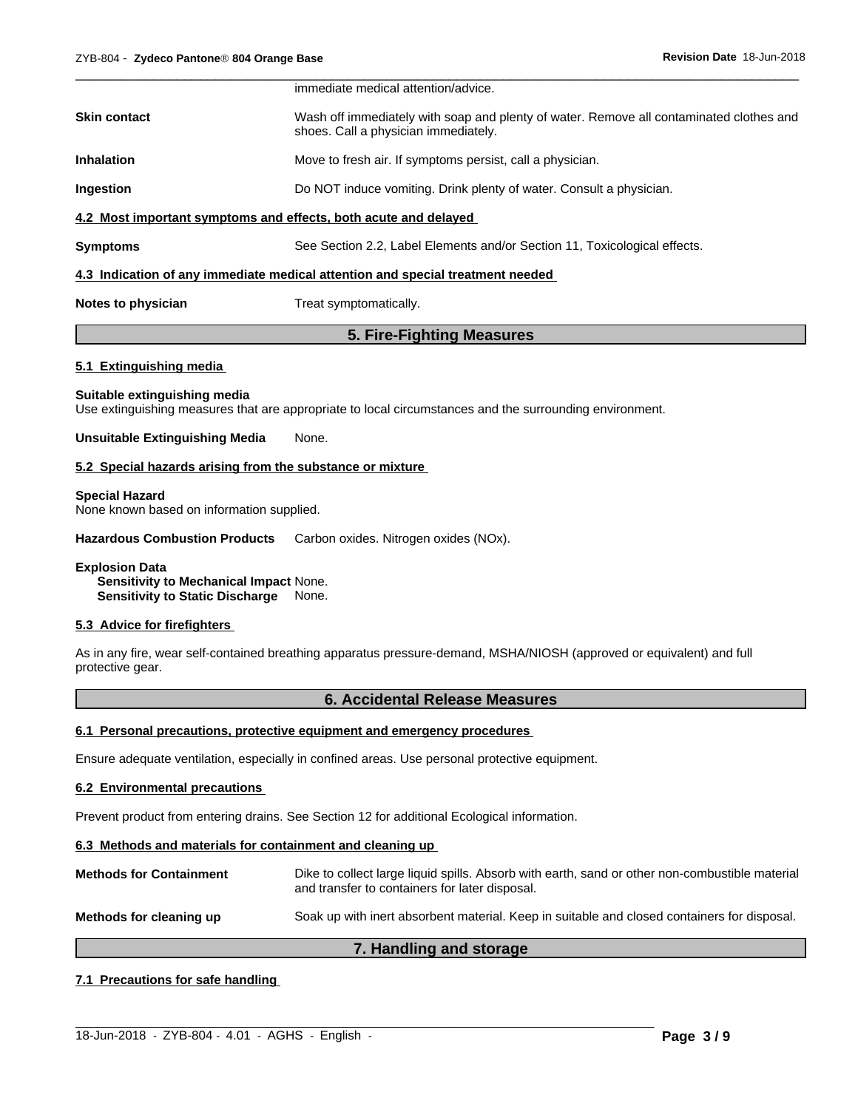|                                                                 | immediate medical attention/advice.                                                                                             |  |
|-----------------------------------------------------------------|---------------------------------------------------------------------------------------------------------------------------------|--|
| Skin contact                                                    | Wash off immediately with soap and plenty of water. Remove all contaminated clothes and<br>shoes. Call a physician immediately. |  |
| <b>Inhalation</b>                                               | Move to fresh air. If symptoms persist, call a physician.                                                                       |  |
| Ingestion                                                       | Do NOT induce vomiting. Drink plenty of water. Consult a physician.                                                             |  |
| 4.2 Most important symptoms and effects, both acute and delayed |                                                                                                                                 |  |
| Symptoms                                                        | See Section 2.2, Label Elements and/or Section 11, Toxicological effects.                                                       |  |
|                                                                 | 4.3 Indication of any immediate medical attention and special treatment needed                                                  |  |
|                                                                 |                                                                                                                                 |  |

**Notes to physician** Treat symptomatically.

# **5. Fire-Fighting Measures**

#### **5.1 Extinguishing media**

#### **Suitable extinguishing media**

Use extinguishing measures that are appropriate to local circumstances and the surrounding environment.

#### **Unsuitable Extinguishing Media** None.

#### **5.2 Special hazards arising from the substance or mixture**

#### **Special Hazard**

None known based on information supplied.

**Hazardous Combustion Products** Carbon oxides. Nitrogen oxides (NOx).

#### **Explosion Data Sensitivity to Mechanical Impact** None. **Sensitivity to Static Discharge** None.

#### **5.3 Advice for firefighters**

As in any fire, wear self-contained breathing apparatus pressure-demand, MSHA/NIOSH (approved or equivalent) and full protective gear.

# **6. Accidental Release Measures**

#### **6.1 Personal precautions, protective equipment and emergency procedures**

Ensure adequate ventilation, especially in confined areas. Use personal protective equipment.

#### **6.2 Environmental precautions**

Prevent product from entering drains. See Section 12 for additional Ecological information.

# **6.3 Methods and materials for containment and cleaning up**

| <b>Methods for Containment</b> | Dike to collect large liquid spills. Absorb with earth, sand or other non-combustible material<br>and transfer to containers for later disposal. |
|--------------------------------|--------------------------------------------------------------------------------------------------------------------------------------------------|
| Methods for cleaning up        | Soak up with inert absorbent material. Keep in suitable and closed containers for disposal.                                                      |

# **7. Handling and storage**

 $\_$  ,  $\_$  ,  $\_$  ,  $\_$  ,  $\_$  ,  $\_$  ,  $\_$  ,  $\_$  ,  $\_$  ,  $\_$  ,  $\_$  ,  $\_$  ,  $\_$  ,  $\_$  ,  $\_$  ,  $\_$  ,  $\_$  ,  $\_$  ,  $\_$  ,  $\_$  ,  $\_$  ,  $\_$  ,  $\_$  ,  $\_$  ,  $\_$  ,  $\_$  ,  $\_$  ,  $\_$  ,  $\_$  ,  $\_$  ,  $\_$  ,  $\_$  ,  $\_$  ,  $\_$  ,  $\_$  ,  $\_$  ,  $\_$  ,

#### **7.1 Precautions for safe handling**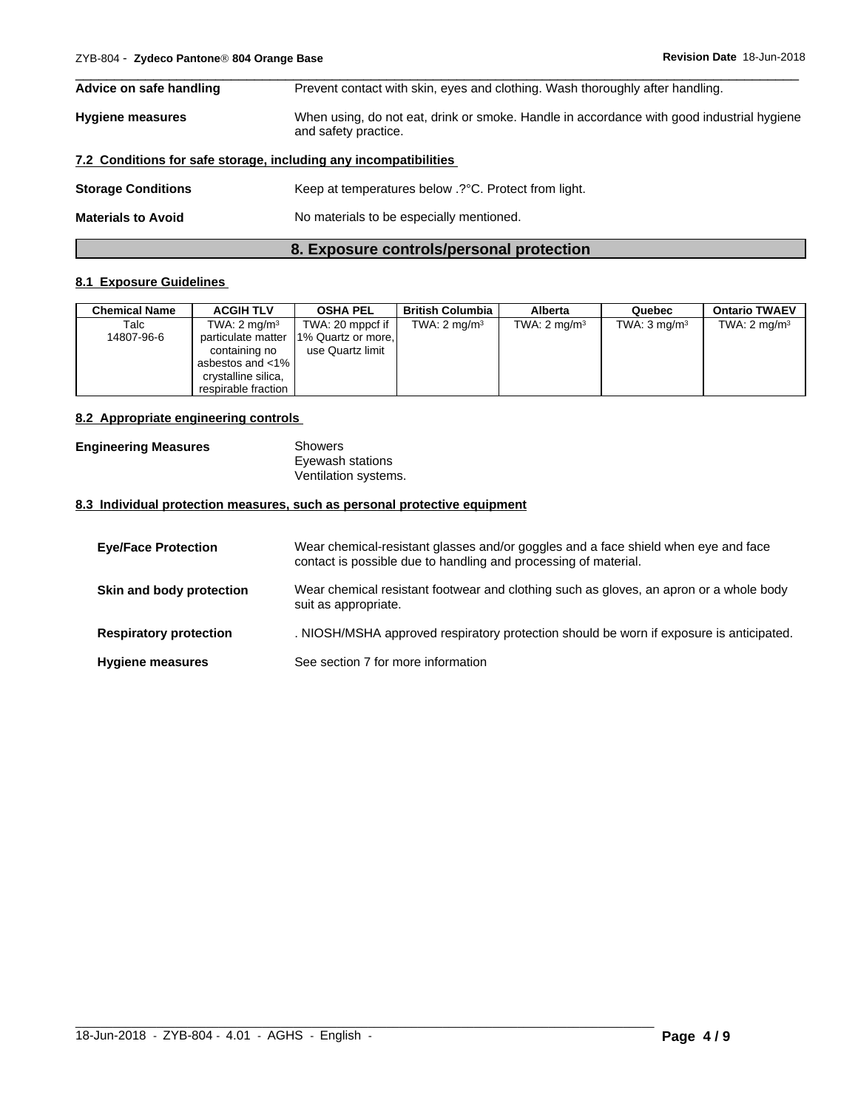|                           | 8. Exposure controls/personal protection                                                                          |  |
|---------------------------|-------------------------------------------------------------------------------------------------------------------|--|
| <b>Materials to Avoid</b> | No materials to be especially mentioned.                                                                          |  |
| <b>Storage Conditions</b> | Keep at temperatures below .? °C. Protect from light.                                                             |  |
|                           | 7.2 Conditions for safe storage, including any incompatibilities                                                  |  |
| <b>Hygiene measures</b>   | When using, do not eat, drink or smoke. Handle in accordance with good industrial hygiene<br>and safety practice. |  |
| Advice on safe handling   | Prevent contact with skin, eyes and clothing. Wash thoroughly after handling.                                     |  |

 $\overline{\phantom{a}}$  ,  $\overline{\phantom{a}}$  ,  $\overline{\phantom{a}}$  ,  $\overline{\phantom{a}}$  ,  $\overline{\phantom{a}}$  ,  $\overline{\phantom{a}}$  ,  $\overline{\phantom{a}}$  ,  $\overline{\phantom{a}}$  ,  $\overline{\phantom{a}}$  ,  $\overline{\phantom{a}}$  ,  $\overline{\phantom{a}}$  ,  $\overline{\phantom{a}}$  ,  $\overline{\phantom{a}}$  ,  $\overline{\phantom{a}}$  ,  $\overline{\phantom{a}}$  ,  $\overline{\phantom{a}}$ 

# **8.1 Exposure Guidelines**

| Chemical Name | <b>ACGIH TLV</b>        | <b>OSHA PEL</b>                       | <b>British Columbia</b> | <b>Alberta</b>          | Quebec                  | <b>Ontario TWAEV</b>    |
|---------------|-------------------------|---------------------------------------|-------------------------|-------------------------|-------------------------|-------------------------|
| Talc          | TWA: $2 \text{ mg/m}^3$ | TWA: 20 mppcf if $\vert$              | TWA: $2 \text{ mg/m}^3$ | TWA: $2 \text{ mg/m}^3$ | TWA: $3 \text{ mg/m}^3$ | TWA: $2 \text{ mg/m}^3$ |
| 14807-96-6    |                         | particulate matter 1% Quartz or more, |                         |                         |                         |                         |
|               | containing no           | use Quartz limit                      |                         |                         |                         |                         |
|               | asbestos and <1%        |                                       |                         |                         |                         |                         |
|               | crystalline silica,     |                                       |                         |                         |                         |                         |
|               | respirable fraction I   |                                       |                         |                         |                         |                         |

#### **8.2 Appropriate engineering controls**

| <b>Engineering Measures</b> | Showers              |  |
|-----------------------------|----------------------|--|
|                             | Eyewash stations     |  |
|                             | Ventilation systems. |  |

# **8.3 Individual protection measures, such as personal protective equipment**

| <b>Eye/Face Protection</b>    | Wear chemical-resistant glasses and/or goggles and a face shield when eye and face<br>contact is possible due to handling and processing of material. |
|-------------------------------|-------------------------------------------------------------------------------------------------------------------------------------------------------|
| Skin and body protection      | Wear chemical resistant footwear and clothing such as gloves, an apron or a whole body<br>suit as appropriate.                                        |
| <b>Respiratory protection</b> | . NIOSH/MSHA approved respiratory protection should be worn if exposure is anticipated.                                                               |
| <b>Hygiene measures</b>       | See section 7 for more information                                                                                                                    |

 $\_$  ,  $\_$  ,  $\_$  ,  $\_$  ,  $\_$  ,  $\_$  ,  $\_$  ,  $\_$  ,  $\_$  ,  $\_$  ,  $\_$  ,  $\_$  ,  $\_$  ,  $\_$  ,  $\_$  ,  $\_$  ,  $\_$  ,  $\_$  ,  $\_$  ,  $\_$  ,  $\_$  ,  $\_$  ,  $\_$  ,  $\_$  ,  $\_$  ,  $\_$  ,  $\_$  ,  $\_$  ,  $\_$  ,  $\_$  ,  $\_$  ,  $\_$  ,  $\_$  ,  $\_$  ,  $\_$  ,  $\_$  ,  $\_$  ,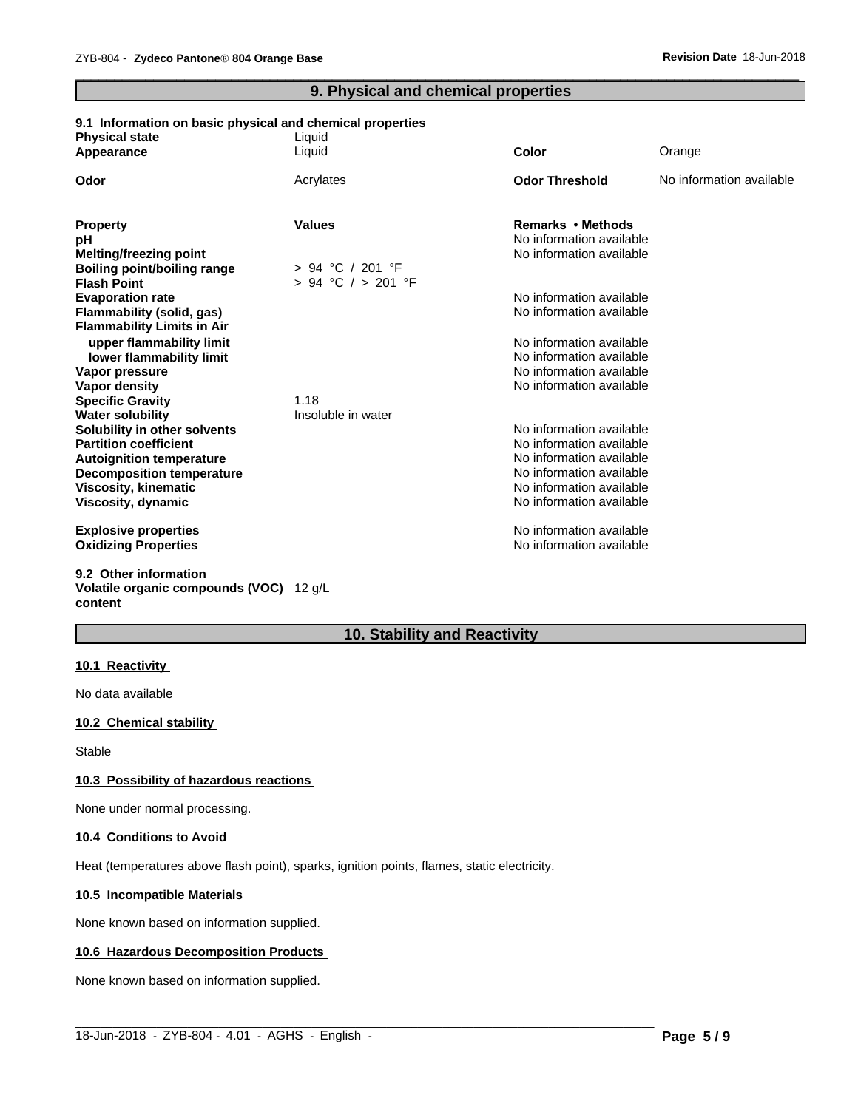# **9. Physical and chemical properties**

 $\overline{\phantom{a}}$  ,  $\overline{\phantom{a}}$  ,  $\overline{\phantom{a}}$  ,  $\overline{\phantom{a}}$  ,  $\overline{\phantom{a}}$  ,  $\overline{\phantom{a}}$  ,  $\overline{\phantom{a}}$  ,  $\overline{\phantom{a}}$  ,  $\overline{\phantom{a}}$  ,  $\overline{\phantom{a}}$  ,  $\overline{\phantom{a}}$  ,  $\overline{\phantom{a}}$  ,  $\overline{\phantom{a}}$  ,  $\overline{\phantom{a}}$  ,  $\overline{\phantom{a}}$  ,  $\overline{\phantom{a}}$ 

## **9.1 Information on basic physical and chemical properties**

| <b>Physical state</b>              | Liquid                 |                          |                          |
|------------------------------------|------------------------|--------------------------|--------------------------|
| Appearance                         | Liquid                 | <b>Color</b>             | Orange                   |
| Odor                               | Acrylates              | <b>Odor Threshold</b>    | No information available |
|                                    |                        |                          |                          |
| <b>Property</b>                    | <b>Values</b>          | Remarks • Methods        |                          |
| pH                                 |                        | No information available |                          |
| <b>Melting/freezing point</b>      |                        | No information available |                          |
| <b>Boiling point/boiling range</b> | $> 94$ °C / 201 °F     |                          |                          |
| <b>Flash Point</b>                 | $> 94$ °C $/ > 201$ °F |                          |                          |
| <b>Evaporation rate</b>            |                        | No information available |                          |
| Flammability (solid, gas)          |                        | No information available |                          |
| <b>Flammability Limits in Air</b>  |                        |                          |                          |
| upper flammability limit           |                        | No information available |                          |
| lower flammability limit           |                        | No information available |                          |
| Vapor pressure                     |                        | No information available |                          |
| Vapor density                      |                        | No information available |                          |
| <b>Specific Gravity</b>            | 1.18                   |                          |                          |
| <b>Water solubility</b>            | Insoluble in water     |                          |                          |
| Solubility in other solvents       |                        | No information available |                          |
| <b>Partition coefficient</b>       |                        | No information available |                          |
| <b>Autoignition temperature</b>    |                        | No information available |                          |
| <b>Decomposition temperature</b>   |                        | No information available |                          |
| Viscosity, kinematic               |                        | No information available |                          |
| Viscosity, dynamic                 |                        | No information available |                          |
| <b>Explosive properties</b>        |                        | No information available |                          |
| <b>Oxidizing Properties</b>        |                        | No information available |                          |
| 9.2 Other information              |                        |                          |                          |

#### **Volatile organic compounds (VOC)** 12 g/L **content**

# **10. Stability and Reactivity**

#### **10.1 Reactivity**

No data available

#### **10.2 Chemical stability**

Stable

#### **10.3 Possibility of hazardous reactions**

None under normal processing.

#### **10.4 Conditions to Avoid**

Heat (temperatures above flash point), sparks, ignition points, flames, static electricity.

#### **10.5 Incompatible Materials**

None known based on information supplied.

#### **10.6 Hazardous Decomposition Products**

None known based on information supplied.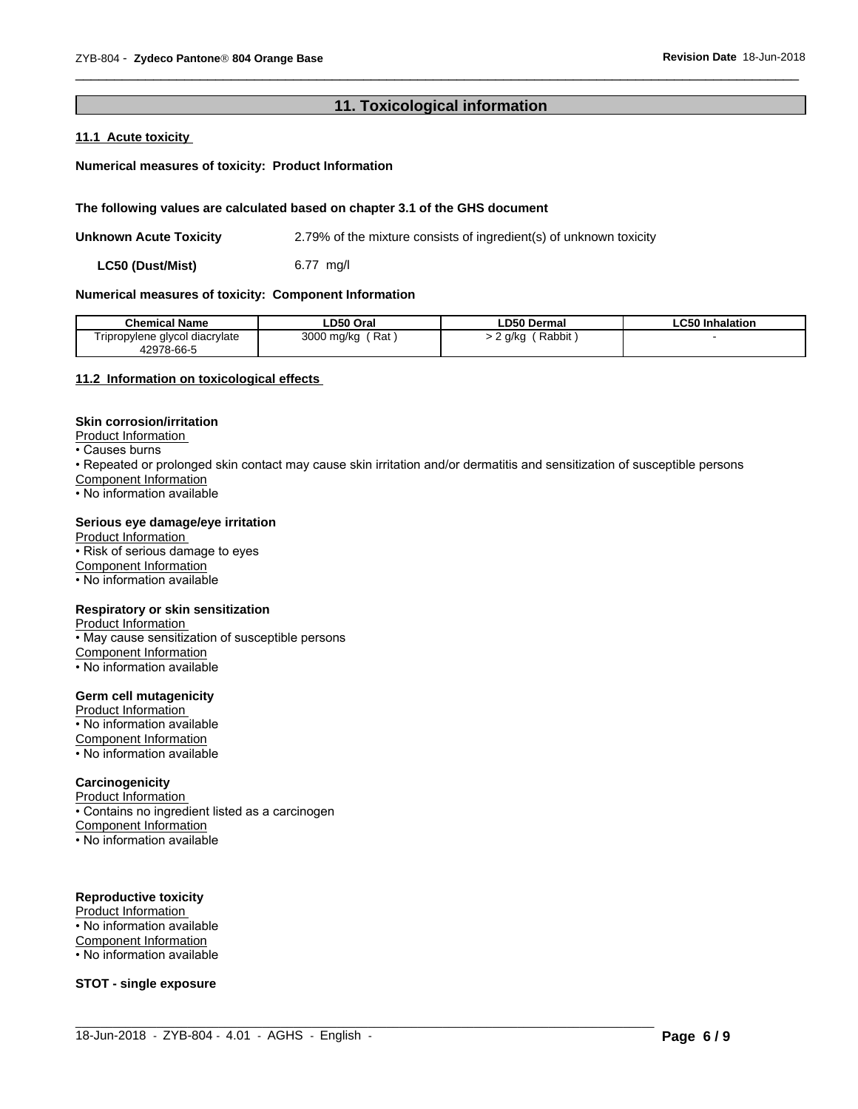# 11. Toxicological information

## 11.1 Acute toxicity

#### Numerical measures of toxicity: Product Information

#### The following values are calculated based on chapter 3.1 of the GHS document

**Unknown Acute Toxicity** 2.79% of the mixture consists of ingredient(s) of unknown toxicity

LC50 (Dust/Mist)  $6.77$  mg/l

#### Numerical measures of toxicity: Component Information

| <b>Chemical Name</b>           | LD50 Oral  | ∟D50 Dermal | <b>LC50 Inhalation</b> |
|--------------------------------|------------|-------------|------------------------|
| Tripropylene glycol diacrylate | Rat        | . Rabbit ا  |                        |
| 42978-66-5                     | 3000 mg/kg | ? g/kg ୍    |                        |

#### 11.2 Information on toxicological effects

#### **Skin corrosion/irritation**

Product Information

• Causes burns

- Repeated or prolonged skin contact may cause skin irritation and/or dermatitis and sensitization of susceptible persons Component Information
- No information available

#### Serious eye damage/eye irritation

Product Information • Risk of serious damage to eyes Component Information • No information available

#### Respiratory or skin sensitization

Product Information

- May cause sensitization of susceptible persons Component Information
- No information available

#### **Germ cell mutagenicity**

Product Information • No information available Component Information

• No information available

# Carcinogenicity

Product Information • Contains no ingredient listed as a carcinogen Component Information • No information available

#### **Reproductive toxicity**

Product Information

• No information available

**Component Information** 

• No information available

**STOT - single exposure**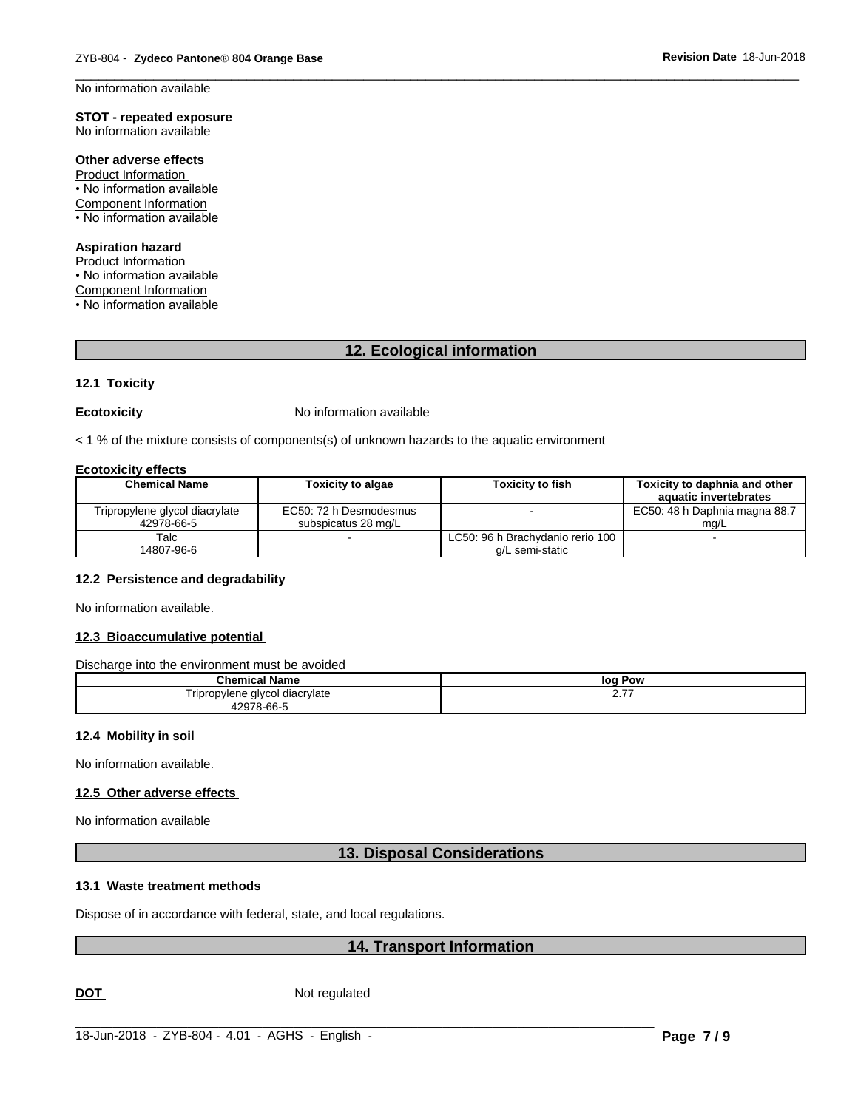No information available

#### **STOT - repeated exposure** No information available

Other adverse effects

Product Information • No information available Component Information • No information available

# **Aspiration hazard**

Product Information • No information available **Component Information** • No information available

12. Ecological information

#### 12.1 Toxicity

#### **Ecotoxicity**

No information available

< 1 % of the mixture consists of components(s) of unknown hazards to the aquatic environment

#### **Ecotoxicity effects**

| <b>Chemical Name</b>           | <b>Toxicity to algae</b> | <b>Toxicity to fish</b>          | Toxicity to daphnia and other<br>aquatic invertebrates |
|--------------------------------|--------------------------|----------------------------------|--------------------------------------------------------|
| Tripropylene glycol diacrylate | EC50: 72 h Desmodesmus   |                                  | EC50: 48 h Daphnia magna 88.7                          |
| 42978-66-5                     | subspicatus 28 mg/L      |                                  | ma/L                                                   |
| Talc                           |                          | LC50: 96 h Brachydanio rerio 100 |                                                        |
| 14807-96-6                     |                          | a/L semi-static                  |                                                        |

#### 12.2 Persistence and degradability

No information available.

# 12.3 Bioaccumulative potential

Discharge into the environment must be avoided

| - -<br>Chemical<br>' Name                                                         | lor<br>Pow     |
|-----------------------------------------------------------------------------------|----------------|
| ylene glycol diacrylate<br>i ripropy<br>$   -$<br>.<br>$\sim$ $\sim$<br>$- - - -$ | --<br><u>.</u> |

#### 12.4 Mobility in soil

No information available.

#### 12.5 Other adverse effects

No information available

#### **13. Disposal Considerations**

#### 13.1 Waste treatment methods

Dispose of in accordance with federal, state, and local regulations.

# 14. Transport Information

**DOT** 

Not regulated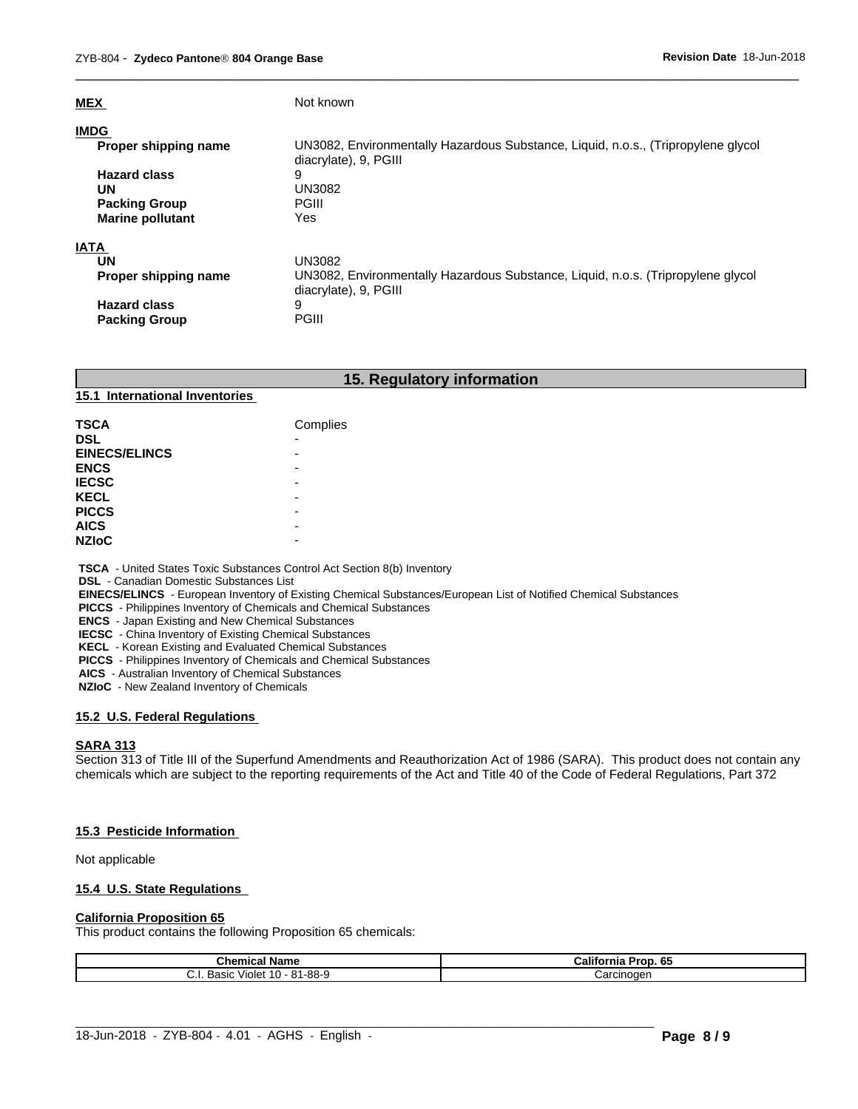| <b>MEX</b>              | Not known                                                                                                  |
|-------------------------|------------------------------------------------------------------------------------------------------------|
| <b>IMDG</b>             |                                                                                                            |
| Proper shipping name    | UN3082, Environmentally Hazardous Substance, Liquid, n.o.s., (Tripropylene glycol<br>diacrylate), 9, PGIII |
| <b>Hazard class</b>     | 9                                                                                                          |
| UN                      | <b>UN3082</b>                                                                                              |
| <b>Packing Group</b>    | <b>PGIII</b>                                                                                               |
| <b>Marine pollutant</b> | Yes                                                                                                        |
| <b>IATA</b>             |                                                                                                            |
| UN                      | <b>UN3082</b>                                                                                              |
| Proper shipping name    | UN3082, Environmentally Hazardous Substance, Liquid, n.o.s. (Tripropylene glycol<br>diacrylate), 9, PGIII  |
| <b>Hazard class</b>     | 9                                                                                                          |
| <b>Packing Group</b>    | <b>PGIII</b>                                                                                               |

 $\overline{\phantom{a}}$  ,  $\overline{\phantom{a}}$  ,  $\overline{\phantom{a}}$  ,  $\overline{\phantom{a}}$  ,  $\overline{\phantom{a}}$  ,  $\overline{\phantom{a}}$  ,  $\overline{\phantom{a}}$  ,  $\overline{\phantom{a}}$  ,  $\overline{\phantom{a}}$  ,  $\overline{\phantom{a}}$  ,  $\overline{\phantom{a}}$  ,  $\overline{\phantom{a}}$  ,  $\overline{\phantom{a}}$  ,  $\overline{\phantom{a}}$  ,  $\overline{\phantom{a}}$  ,  $\overline{\phantom{a}}$ 

#### **15. Regulatory information**

#### **15.1 International Inventories**

| <b>TSCA</b>          | Complies |
|----------------------|----------|
| <b>DSL</b>           | -        |
| <b>EINECS/ELINCS</b> | -        |
| <b>ENCS</b>          | -        |
| <b>IECSC</b>         | -        |
| <b>KECL</b>          | -        |
| <b>PICCS</b>         | -        |
| <b>AICS</b>          | -        |
| <b>NZIOC</b>         | -        |

 **TSCA** - United States Toxic Substances Control Act Section 8(b) Inventory

 **DSL** - Canadian Domestic Substances List

 **EINECS/ELINCS** - European Inventory of Existing Chemical Substances/European List of Notified Chemical Substances

 **PICCS** - Philippines Inventory of Chemicals and Chemical Substances

 **ENCS** - Japan Existing and New Chemical Substances

 **IECSC** - China Inventory of Existing Chemical Substances

 **KECL** - Korean Existing and Evaluated Chemical Substances

 **PICCS** - Philippines Inventory of Chemicals and Chemical Substances

 **AICS** - Australian Inventory of Chemical Substances

 **NZIoC** - New Zealand Inventory of Chemicals

#### **15.2 U.S. Federal Regulations**

#### **SARA 313**

Section 313 of Title III of the Superfund Amendments and Reauthorization Act of 1986 (SARA). This product does not contain any chemicals which are subject to the reporting requirements of the Act and Title 40 of the Code of Federal Regulations, Part 372

#### **15.3 Pesticide Information**

Not applicable

#### **15.4 U.S. State Regulations**

#### **California Proposition 65**

This product contains the following Proposition 65 chemicals:

| <b>Chemical Name</b>                                                   | California<br>65<br>.<br>ʻror. |
|------------------------------------------------------------------------|--------------------------------|
| - 81-88-9<br>$\overline{ }$<br>∩רי⊿<br>. Violet i<br>basic<br>ιU<br>◡… | Carcinoder                     |

 $\_$  ,  $\_$  ,  $\_$  ,  $\_$  ,  $\_$  ,  $\_$  ,  $\_$  ,  $\_$  ,  $\_$  ,  $\_$  ,  $\_$  ,  $\_$  ,  $\_$  ,  $\_$  ,  $\_$  ,  $\_$  ,  $\_$  ,  $\_$  ,  $\_$  ,  $\_$  ,  $\_$  ,  $\_$  ,  $\_$  ,  $\_$  ,  $\_$  ,  $\_$  ,  $\_$  ,  $\_$  ,  $\_$  ,  $\_$  ,  $\_$  ,  $\_$  ,  $\_$  ,  $\_$  ,  $\_$  ,  $\_$  ,  $\_$  ,